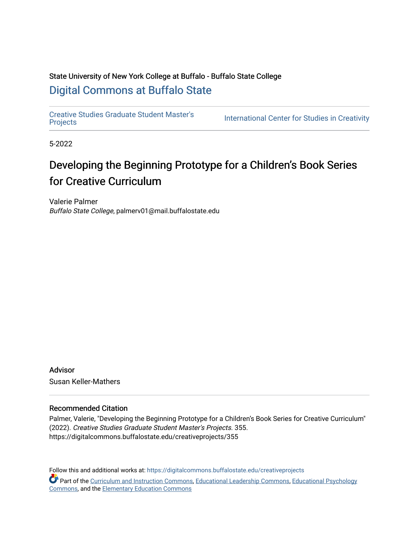# State University of New York College at Buffalo - Buffalo State College [Digital Commons at Buffalo State](https://digitalcommons.buffalostate.edu/)

[Creative Studies Graduate Student Master's](https://digitalcommons.buffalostate.edu/creativeprojects)  Creative Studies Graduate Student Masters International Center for Studies in Creativity<br>[Projects](https://digitalcommons.buffalostate.edu/creativeprojects)

5-2022

# Developing the Beginning Prototype for a Children's Book Series for Creative Curriculum

Valerie Palmer Buffalo State College, palmerv01@mail.buffalostate.edu

Advisor Susan Keller-Mathers

#### Recommended Citation

Palmer, Valerie, "Developing the Beginning Prototype for a Children's Book Series for Creative Curriculum" (2022). Creative Studies Graduate Student Master's Projects. 355. https://digitalcommons.buffalostate.edu/creativeprojects/355

Follow this and additional works at: [https://digitalcommons.buffalostate.edu/creativeprojects](https://digitalcommons.buffalostate.edu/creativeprojects?utm_source=digitalcommons.buffalostate.edu%2Fcreativeprojects%2F355&utm_medium=PDF&utm_campaign=PDFCoverPages)  Part of the [Curriculum and Instruction Commons,](https://network.bepress.com/hgg/discipline/786?utm_source=digitalcommons.buffalostate.edu%2Fcreativeprojects%2F355&utm_medium=PDF&utm_campaign=PDFCoverPages) [Educational Leadership Commons](https://network.bepress.com/hgg/discipline/1230?utm_source=digitalcommons.buffalostate.edu%2Fcreativeprojects%2F355&utm_medium=PDF&utm_campaign=PDFCoverPages), [Educational Psychology](https://network.bepress.com/hgg/discipline/798?utm_source=digitalcommons.buffalostate.edu%2Fcreativeprojects%2F355&utm_medium=PDF&utm_campaign=PDFCoverPages) [Commons,](https://network.bepress.com/hgg/discipline/798?utm_source=digitalcommons.buffalostate.edu%2Fcreativeprojects%2F355&utm_medium=PDF&utm_campaign=PDFCoverPages) and the [Elementary Education Commons](https://network.bepress.com/hgg/discipline/1378?utm_source=digitalcommons.buffalostate.edu%2Fcreativeprojects%2F355&utm_medium=PDF&utm_campaign=PDFCoverPages)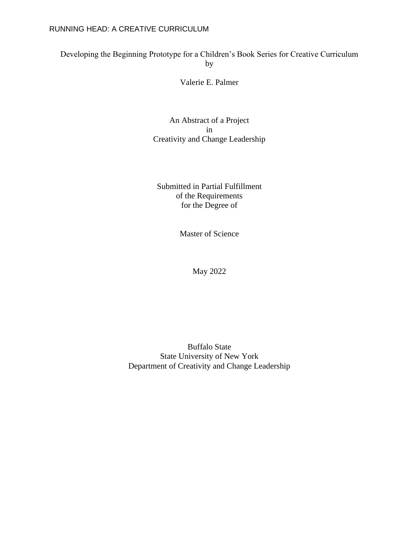# Developing the Beginning Prototype for a Children's Book Series for Creative Curriculum by

Valerie E. Palmer

An Abstract of a Project in Creativity and Change Leadership

Submitted in Partial Fulfillment of the Requirements for the Degree of

Master of Science

May 2022

Buffalo State State University of New York Department of Creativity and Change Leadership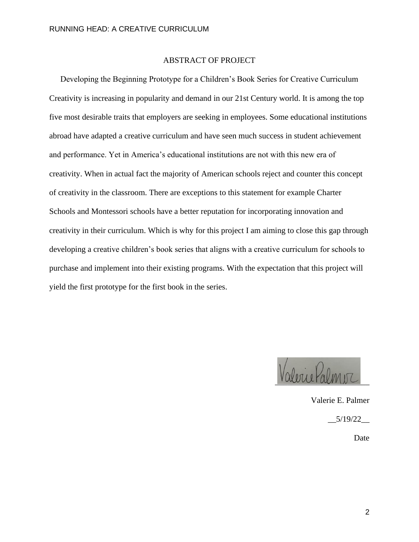### ABSTRACT OF PROJECT

Developing the Beginning Prototype for a Children's Book Series for Creative Curriculum Creativity is increasing in popularity and demand in our 21st Century world. It is among the top five most desirable traits that employers are seeking in employees. Some educational institutions abroad have adapted a creative curriculum and have seen much success in student achievement and performance. Yet in America's educational institutions are not with this new era of creativity. When in actual fact the majority of American schools reject and counter this concept of creativity in the classroom. There are exceptions to this statement for example Charter Schools and Montessori schools have a better reputation for incorporating innovation and creativity in their curriculum. Which is why for this project I am aiming to close this gap through developing a creative children's book series that aligns with a creative curriculum for schools to purchase and implement into their existing programs. With the expectation that this project will yield the first prototype for the first book in the series.

Valerie Palmer

Valerie E. Palmer \_\_5/19/22\_\_ Date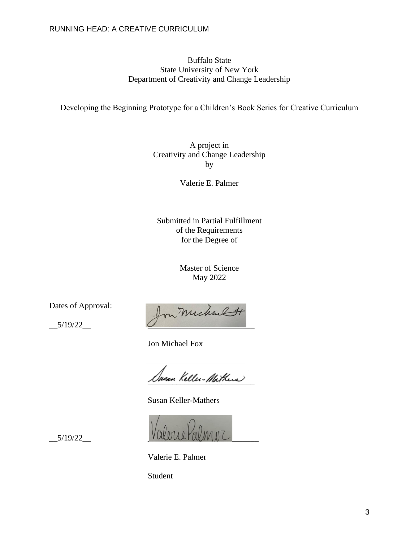### Buffalo State State University of New York Department of Creativity and Change Leadership

Developing the Beginning Prototype for a Children's Book Series for Creative Curriculum

A project in Creativity and Change Leadership by

Valerie E. Palmer

Submitted in Partial Fulfillment of the Requirements for the Degree of

> Master of Science May 2022

Dates of Approval:

vaces or Approvai: Jon Michael H

Jon Michael Fox

Jasan Keller-Mathers

Susan Keller-Mathers

\_\_5/19/22\_\_ \_\_\_\_\_\_\_\_\_\_\_\_\_\_\_\_\_\_\_\_\_\_\_\_\_\_\_

Valerie E. Palmer

Student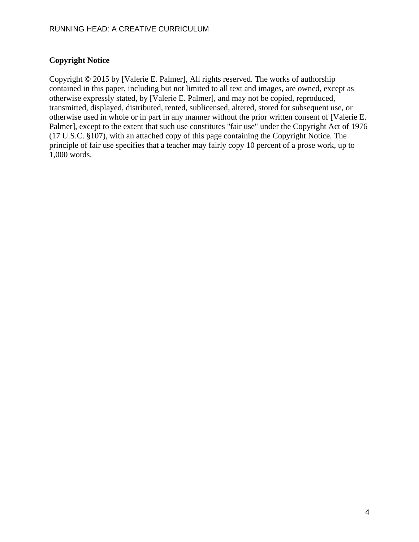### **Copyright Notice**

Copyright © 2015 by [Valerie E. Palmer], All rights reserved. The works of authorship contained in this paper, including but not limited to all text and images, are owned, except as otherwise expressly stated, by [Valerie E. Palmer], and may not be copied, reproduced, transmitted, displayed, distributed, rented, sublicensed, altered, stored for subsequent use, or otherwise used in whole or in part in any manner without the prior written consent of [Valerie E. Palmer], except to the extent that such use constitutes "fair use" under the Copyright Act of 1976 (17 U.S.C. §107), with an attached copy of this page containing the Copyright Notice. The principle of fair use specifies that a teacher may fairly copy 10 percent of a prose work, up to 1,000 words.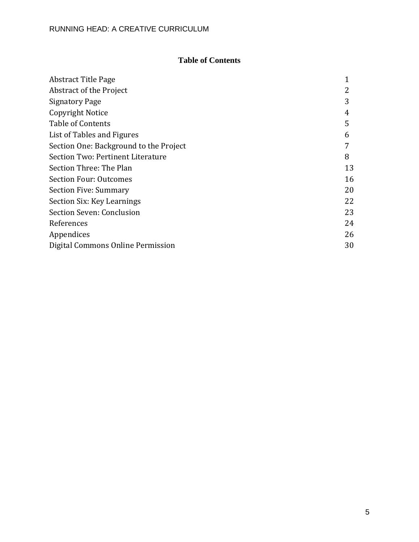# **Table of Contents**

| <b>Abstract Title Page</b>             |    |
|----------------------------------------|----|
| Abstract of the Project                |    |
| <b>Signatory Page</b>                  | 3  |
| Copyright Notice                       | 4  |
| Table of Contents                      | 5  |
| List of Tables and Figures             | 6  |
| Section One: Background to the Project |    |
| Section Two: Pertinent Literature      | 8  |
| Section Three: The Plan                | 13 |
| <b>Section Four: Outcomes</b>          | 16 |
| <b>Section Five: Summary</b>           | 20 |
| Section Six: Key Learnings             | 22 |
| Section Seven: Conclusion              | 23 |
| References                             | 24 |
| Appendices                             | 26 |
| Digital Commons Online Permission      | 30 |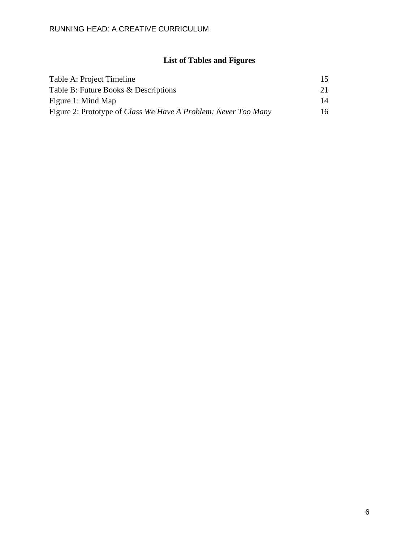# **List of Tables and Figures**

| Table A: Project Timeline                                             | 15 |
|-----------------------------------------------------------------------|----|
| Table B: Future Books & Descriptions                                  | 21 |
| Figure 1: Mind Map                                                    | 14 |
| Figure 2: Prototype of <i>Class We Have A Problem: Never Too Many</i> | 16 |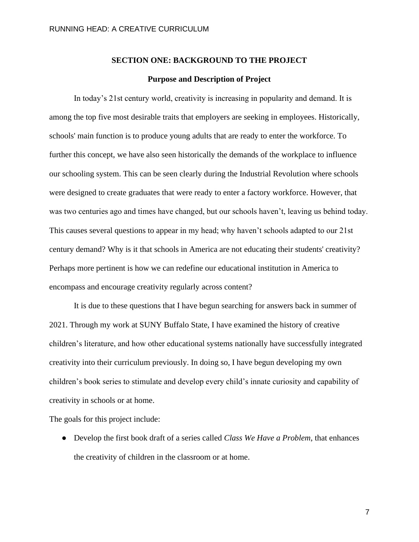#### **SECTION ONE: BACKGROUND TO THE PROJECT**

#### **Purpose and Description of Project**

In today's 21st century world, creativity is increasing in popularity and demand. It is among the top five most desirable traits that employers are seeking in employees. Historically, schools' main function is to produce young adults that are ready to enter the workforce. To further this concept, we have also seen historically the demands of the workplace to influence our schooling system. This can be seen clearly during the Industrial Revolution where schools were designed to create graduates that were ready to enter a factory workforce. However, that was two centuries ago and times have changed, but our schools haven't, leaving us behind today. This causes several questions to appear in my head; why haven't schools adapted to our 21st century demand? Why is it that schools in America are not educating their students' creativity? Perhaps more pertinent is how we can redefine our educational institution in America to encompass and encourage creativity regularly across content?

It is due to these questions that I have begun searching for answers back in summer of 2021. Through my work at SUNY Buffalo State, I have examined the history of creative children's literature, and how other educational systems nationally have successfully integrated creativity into their curriculum previously. In doing so, I have begun developing my own children's book series to stimulate and develop every child's innate curiosity and capability of creativity in schools or at home.

The goals for this project include:

● Develop the first book draft of a series called *Class We Have a Problem*, that enhances the creativity of children in the classroom or at home.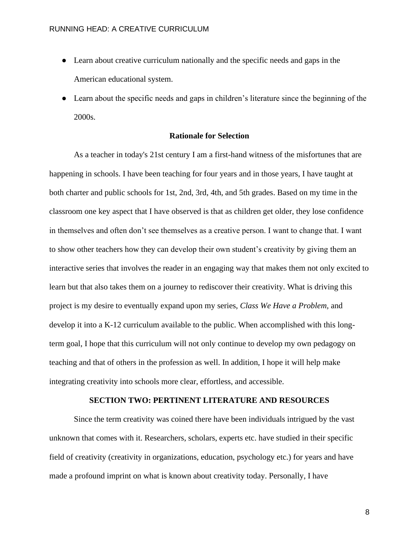- Learn about creative curriculum nationally and the specific needs and gaps in the American educational system.
- Learn about the specific needs and gaps in children's literature since the beginning of the 2000s.

### **Rationale for Selection**

As a teacher in today's 21st century I am a first-hand witness of the misfortunes that are happening in schools. I have been teaching for four years and in those years, I have taught at both charter and public schools for 1st, 2nd, 3rd, 4th, and 5th grades. Based on my time in the classroom one key aspect that I have observed is that as children get older, they lose confidence in themselves and often don't see themselves as a creative person. I want to change that. I want to show other teachers how they can develop their own student's creativity by giving them an interactive series that involves the reader in an engaging way that makes them not only excited to learn but that also takes them on a journey to rediscover their creativity. What is driving this project is my desire to eventually expand upon my series, *Class We Have a Problem,* and develop it into a K-12 curriculum available to the public. When accomplished with this longterm goal, I hope that this curriculum will not only continue to develop my own pedagogy on teaching and that of others in the profession as well. In addition, I hope it will help make integrating creativity into schools more clear, effortless, and accessible.

### **SECTION TWO: PERTINENT LITERATURE AND RESOURCES**

Since the term creativity was coined there have been individuals intrigued by the vast unknown that comes with it. Researchers, scholars, experts etc. have studied in their specific field of creativity (creativity in organizations, education, psychology etc.) for years and have made a profound imprint on what is known about creativity today. Personally, I have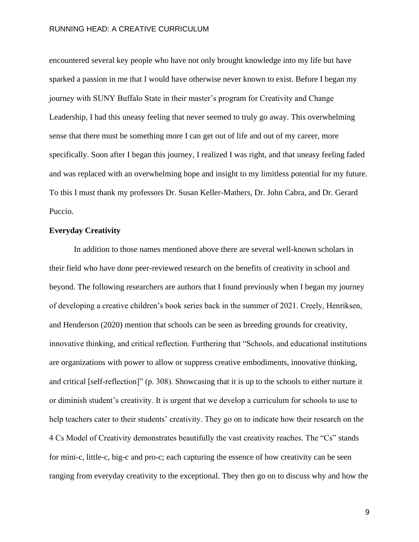encountered several key people who have not only brought knowledge into my life but have sparked a passion in me that I would have otherwise never known to exist. Before I began my journey with SUNY Buffalo State in their master's program for Creativity and Change Leadership, I had this uneasy feeling that never seemed to truly go away. This overwhelming sense that there must be something more I can get out of life and out of my career, more specifically. Soon after I began this journey, I realized I was right, and that uneasy feeling faded and was replaced with an overwhelming hope and insight to my limitless potential for my future. To this I must thank my professors Dr. Susan Keller-Mathers, Dr. John Cabra, and Dr. Gerard Puccio.

#### **Everyday Creativity**

In addition to those names mentioned above there are several well-known scholars in their field who have done peer-reviewed research on the benefits of creativity in school and beyond. The following researchers are authors that I found previously when I began my journey of developing a creative children's book series back in the summer of 2021. Creely, Henriksen, and Henderson (2020) mention that schools can be seen as breeding grounds for creativity, innovative thinking, and critical reflection. Furthering that "Schools, and educational institutions are organizations with power to allow or suppress creative embodiments, innovative thinking, and critical [self-reflection]" (p. 308). Showcasing that it is up to the schools to either nurture it or diminish student's creativity. It is urgent that we develop a curriculum for schools to use to help teachers cater to their students' creativity. They go on to indicate how their research on the 4 Cs Model of Creativity demonstrates beautifully the vast creativity reaches. The "Cs" stands for mini-c, little-c, big-c and pro-c; each capturing the essence of how creativity can be seen ranging from everyday creativity to the exceptional. They then go on to discuss why and how the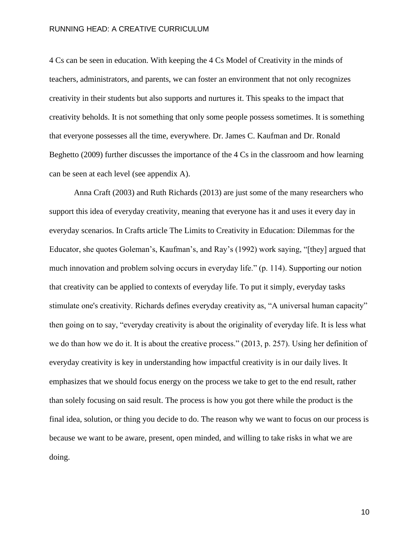4 Cs can be seen in education. With keeping the 4 Cs Model of Creativity in the minds of teachers, administrators, and parents, we can foster an environment that not only recognizes creativity in their students but also supports and nurtures it. This speaks to the impact that creativity beholds. It is not something that only some people possess sometimes. It is something that everyone possesses all the time, everywhere. Dr. James C. Kaufman and Dr. Ronald Beghetto (2009) further discusses the importance of the 4 Cs in the classroom and how learning can be seen at each level (see appendix A).

Anna Craft (2003) and Ruth Richards (2013) are just some of the many researchers who support this idea of everyday creativity, meaning that everyone has it and uses it every day in everyday scenarios. In Crafts article The Limits to Creativity in Education: Dilemmas for the Educator, she quotes Goleman's, Kaufman's, and Ray's (1992) work saying, "[they] argued that much innovation and problem solving occurs in everyday life." (p. 114). Supporting our notion that creativity can be applied to contexts of everyday life. To put it simply, everyday tasks stimulate one's creativity. Richards defines everyday creativity as, "A universal human capacity" then going on to say, "everyday creativity is about the originality of everyday life. It is less what we do than how we do it. It is about the creative process." (2013, p. 257). Using her definition of everyday creativity is key in understanding how impactful creativity is in our daily lives. It emphasizes that we should focus energy on the process we take to get to the end result, rather than solely focusing on said result. The process is how you got there while the product is the final idea, solution, or thing you decide to do. The reason why we want to focus on our process is because we want to be aware, present, open minded, and willing to take risks in what we are doing.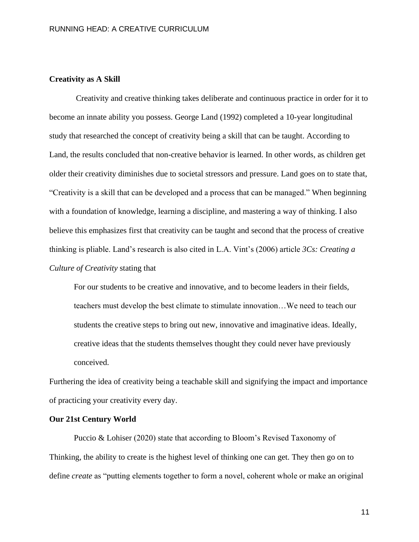#### **Creativity as A Skill**

Creativity and creative thinking takes deliberate and continuous practice in order for it to become an innate ability you possess. George Land (1992) completed a 10-year longitudinal study that researched the concept of creativity being a skill that can be taught. According to Land, the results concluded that non-creative behavior is learned. In other words, as children get older their creativity diminishes due to societal stressors and pressure. Land goes on to state that, "Creativity is a skill that can be developed and a process that can be managed." When beginning with a foundation of knowledge, learning a discipline, and mastering a way of thinking. I also believe this emphasizes first that creativity can be taught and second that the process of creative thinking is pliable. Land's research is also cited in L.A. Vint's (2006) article *3Cs: Creating a Culture of Creativity* stating that

For our students to be creative and innovative, and to become leaders in their fields, teachers must develop the best climate to stimulate innovation…We need to teach our students the creative steps to bring out new, innovative and imaginative ideas. Ideally, creative ideas that the students themselves thought they could never have previously conceived.

Furthering the idea of creativity being a teachable skill and signifying the impact and importance of practicing your creativity every day.

#### **Our 21st Century World**

Puccio & Lohiser (2020) state that according to Bloom's Revised Taxonomy of Thinking, the ability to create is the highest level of thinking one can get. They then go on to define *create* as "putting elements together to form a novel, coherent whole or make an original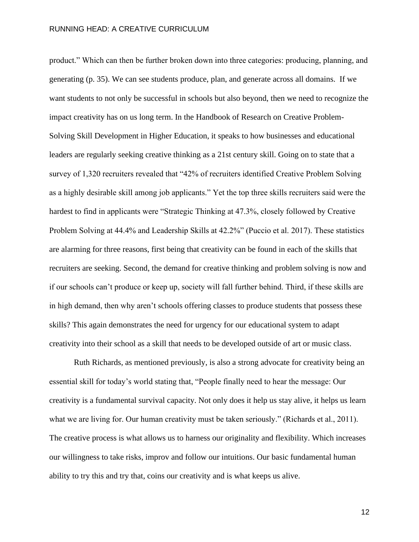product." Which can then be further broken down into three categories: producing, planning, and generating (p. 35). We can see students produce, plan, and generate across all domains. If we want students to not only be successful in schools but also beyond, then we need to recognize the impact creativity has on us long term. In the Handbook of Research on Creative Problem-Solving Skill Development in Higher Education, it speaks to how businesses and educational leaders are regularly seeking creative thinking as a 21st century skill. Going on to state that a survey of 1,320 recruiters revealed that "42% of recruiters identified Creative Problem Solving as a highly desirable skill among job applicants." Yet the top three skills recruiters said were the hardest to find in applicants were "Strategic Thinking at 47.3%, closely followed by Creative Problem Solving at 44.4% and Leadership Skills at 42.2%" (Puccio et al. 2017). These statistics are alarming for three reasons, first being that creativity can be found in each of the skills that recruiters are seeking. Second, the demand for creative thinking and problem solving is now and if our schools can't produce or keep up, society will fall further behind. Third, if these skills are in high demand, then why aren't schools offering classes to produce students that possess these skills? This again demonstrates the need for urgency for our educational system to adapt creativity into their school as a skill that needs to be developed outside of art or music class.

Ruth Richards, as mentioned previously, is also a strong advocate for creativity being an essential skill for today's world stating that, "People finally need to hear the message: Our creativity is a fundamental survival capacity. Not only does it help us stay alive, it helps us learn what we are living for. Our human creativity must be taken seriously." (Richards et al., 2011). The creative process is what allows us to harness our originality and flexibility. Which increases our willingness to take risks, improv and follow our intuitions. Our basic fundamental human ability to try this and try that, coins our creativity and is what keeps us alive.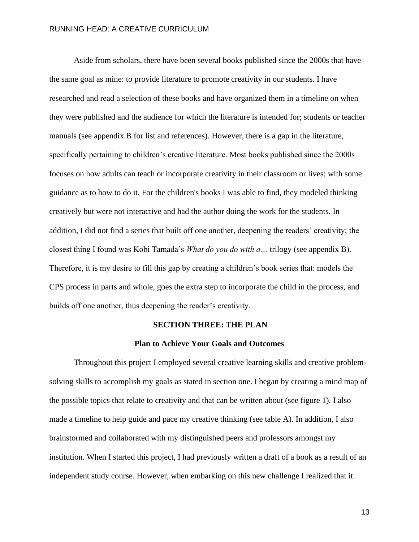Aside from scholars, there have been several books published since the 2000s that have the same goal as mine: to provide literature to promote creativity in our students. I have researched and read a selection of these books and have organized them in a timeline on when they were published and the audience for which the literature is intended for; students or teacher manuals (see appendix B for list and references). However, there is a gap in the literature, specifically pertaining to children's creative literature. Most books published since the 2000s focuses on how adults can teach or incorporate creativity in their classroom or lives; with some guidance as to how to do it. For the children's books I was able to find, they modeled thinking creatively but were not interactive and had the author doing the work for the students. In addition, I did not find a series that built off one another, deepening the readers' creativity; the closest thing I found was Kobi Tamada's *What do you do with a…* trilogy (see appendix B). Therefore, it is my desire to fill this gap by creating a children's book series that: models the CPS process in parts and whole, goes the extra step to incorporate the child in the process, and builds off one another, thus deepening the reader's creativity.

#### **SECTION THREE: THE PLAN**

#### **Plan to Achieve Your Goals and Outcomes**

Throughout this project I employed several creative learning skills and creative problemsolving skills to accomplish my goals as stated in section one. I began by creating a mind map of the possible topics that relate to creativity and that can be written about (see figure 1). I also made a timeline to help guide and pace my creative thinking (see table A). In addition, I also brainstormed and collaborated with my distinguished peers and professors amongst my institution. When I started this project, I had previously written a draft of a book as a result of an independent study course. However, when embarking on this new challenge I realized that it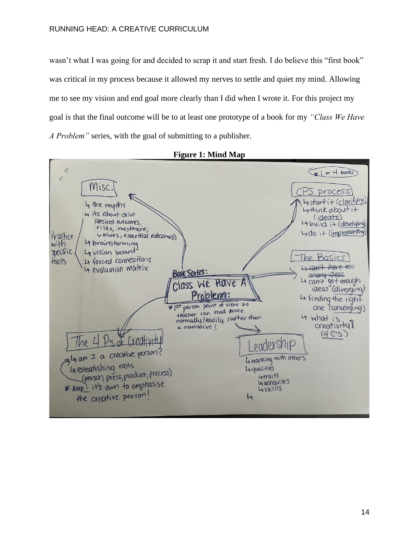wasn't what I was going for and decided to scrap it and start fresh. I do believe this "first book" was critical in my process because it allowed my nerves to settle and quiet my mind. Allowing me to see my vision and end goal more clearly than I did when I wrote it. For this project my goal is that the final outcome will be to at least one prototype of a book for my *"Class We Have A Problem"* series, with the goal of submitting to a publisher.



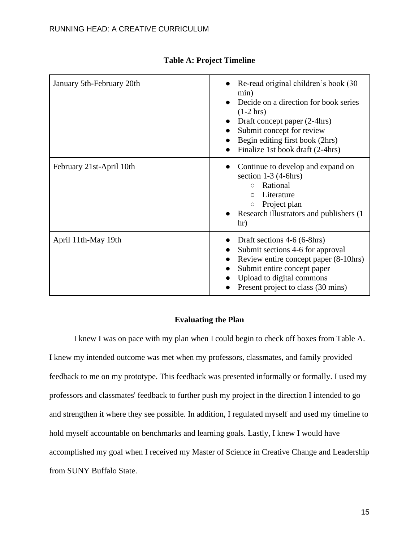| January 5th-February 20th | • Re-read original children's book $(30)$<br>min)<br>Decide on a direction for book series<br>$(1-2$ hrs)<br>Draft concept paper (2-4hrs)<br>Submit concept for review<br>Begin editing first book (2hrs)<br>Finalize 1st book draft (2-4hrs) |
|---------------------------|-----------------------------------------------------------------------------------------------------------------------------------------------------------------------------------------------------------------------------------------------|
| February 21st-April 10th  | Continue to develop and expand on<br>section $1-3$ (4-6hrs)<br>Rational<br>$\bigcirc$<br>Literature<br>$\bigcirc$<br>Project plan<br>$\bigcirc$<br>Research illustrators and publishers (1)<br>hr)                                            |
| April 11th-May 19th       | Draft sections 4-6 (6-8hrs)<br>Submit sections 4-6 for approval<br>Review entire concept paper (8-10hrs)<br>Submit entire concept paper<br>Upload to digital commons<br>Present project to class (30 mins)                                    |

### **Table A: Project Timeline**

### **Evaluating the Plan**

I knew I was on pace with my plan when I could begin to check off boxes from Table A. I knew my intended outcome was met when my professors, classmates, and family provided feedback to me on my prototype. This feedback was presented informally or formally. I used my professors and classmates' feedback to further push my project in the direction I intended to go and strengthen it where they see possible. In addition, I regulated myself and used my timeline to hold myself accountable on benchmarks and learning goals. Lastly, I knew I would have accomplished my goal when I received my Master of Science in Creative Change and Leadership from SUNY Buffalo State.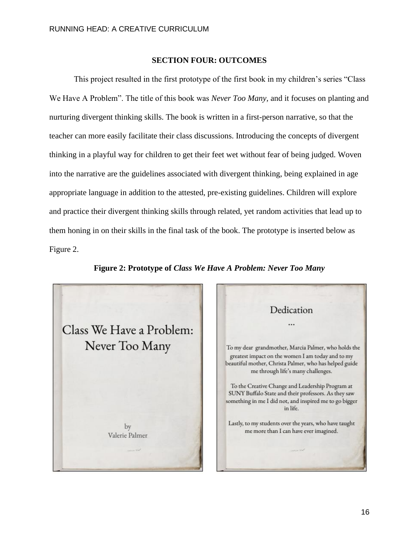#### **SECTION FOUR: OUTCOMES**

This project resulted in the first prototype of the first book in my children's series "Class We Have A Problem". The title of this book was *Never Too Many,* and it focuses on planting and nurturing divergent thinking skills. The book is written in a first-person narrative, so that the teacher can more easily facilitate their class discussions. Introducing the concepts of divergent thinking in a playful way for children to get their feet wet without fear of being judged. Woven into the narrative are the guidelines associated with divergent thinking, being explained in age appropriate language in addition to the attested, pre-existing guidelines. Children will explore and practice their divergent thinking skills through related, yet random activities that lead up to them honing in on their skills in the final task of the book. The prototype is inserted below as Figure 2.



**Figure 2: Prototype of** *Class We Have A Problem: Never Too Many*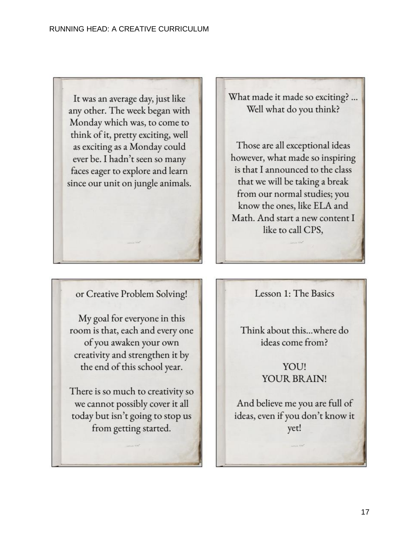

or Creative Problem Solving!

My goal for everyone in this room is that, each and every one of you awaken your own creativity and strengthen it by the end of this school year.

There is so much to creativity so we cannot possibly cover it all today but isn't going to stop us from getting started.

Lesson 1: The Basics

Think about this...where do ideas come from?

> YOU! YOUR BRAIN!

And believe me you are full of ideas, even if you don't know it yet!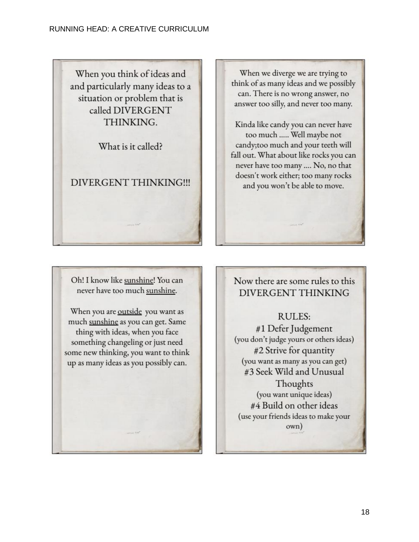When you think of ideas and and particularly many ideas to a situation or problem that is called DIVERGENT THINKING.

What is it called?

DIVERGENT THINKING!!!

When we diverge we are trying to think of as many ideas and we possibly can. There is no wrong answer, no answer too silly, and never too many.

Kinda like candy you can never have too much ..... Well maybe not candy; too much and your teeth will fall out. What about like rocks you can never have too many .... No, no that doesn't work either; too many rocks and you won't be able to move.

Oh! I know like sunshine! You can never have too much sunshine.

When you are outside you want as much sunshine as you can get. Same thing with ideas, when you face something changeling or just need some new thinking, you want to think up as many ideas as you possibly can.

# Now there are some rules to this **DIVERGENT THINKING**

# RULES:

#1 Defer Judgement (you don't judge yours or others ideas) #2 Strive for quantity (you want as many as you can get) #3 Seek Wild and Unusual Thoughts (you want unique ideas) #4 Build on other ideas (use your friends ideas to make your own)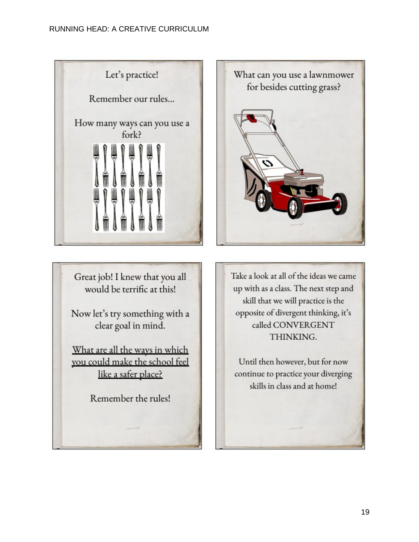

Great job! I knew that you all would be terrific at this!

Now let's try something with a clear goal in mind.

What are all the ways in which you could make the school feel like a safer place?

Remember the rules!



Take a look at all of the ideas we came up with as a class. The next step and skill that we will practice is the opposite of divergent thinking, it's called CONVERGENT THINKING.

Until then however, but for now continue to practice your diverging skills in class and at home!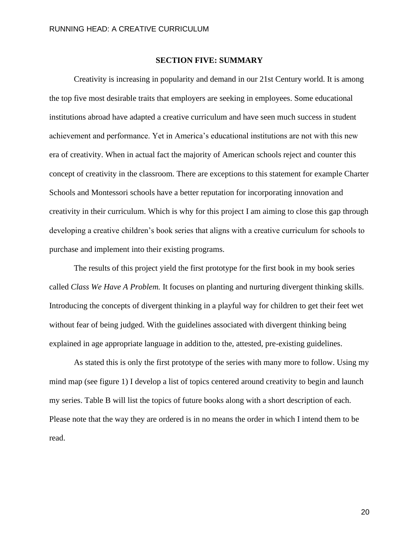#### **SECTION FIVE: SUMMARY**

Creativity is increasing in popularity and demand in our 21st Century world. It is among the top five most desirable traits that employers are seeking in employees. Some educational institutions abroad have adapted a creative curriculum and have seen much success in student achievement and performance. Yet in America's educational institutions are not with this new era of creativity. When in actual fact the majority of American schools reject and counter this concept of creativity in the classroom. There are exceptions to this statement for example Charter Schools and Montessori schools have a better reputation for incorporating innovation and creativity in their curriculum. Which is why for this project I am aiming to close this gap through developing a creative children's book series that aligns with a creative curriculum for schools to purchase and implement into their existing programs.

The results of this project yield the first prototype for the first book in my book series called *Class We Have A Problem.* It focuses on planting and nurturing divergent thinking skills. Introducing the concepts of divergent thinking in a playful way for children to get their feet wet without fear of being judged. With the guidelines associated with divergent thinking being explained in age appropriate language in addition to the, attested, pre-existing guidelines.

As stated this is only the first prototype of the series with many more to follow. Using my mind map (see figure 1) I develop a list of topics centered around creativity to begin and launch my series. Table B will list the topics of future books along with a short description of each. Please note that the way they are ordered is in no means the order in which I intend them to be read.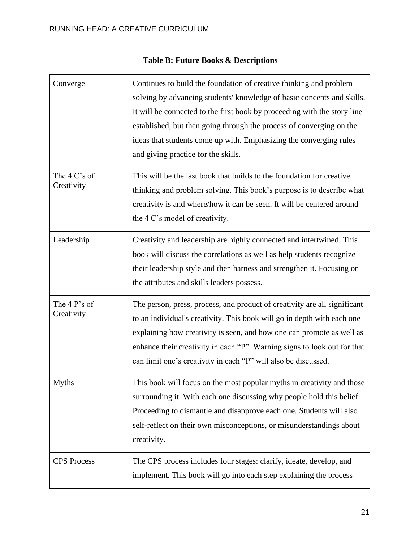| Converge                   | Continues to build the foundation of creative thinking and problem<br>solving by advancing students' knowledge of basic concepts and skills.<br>It will be connected to the first book by proceeding with the story line<br>established, but then going through the process of converging on the<br>ideas that students come up with. Emphasizing the converging rules<br>and giving practice for the skills. |
|----------------------------|---------------------------------------------------------------------------------------------------------------------------------------------------------------------------------------------------------------------------------------------------------------------------------------------------------------------------------------------------------------------------------------------------------------|
| The 4 C's of<br>Creativity | This will be the last book that builds to the foundation for creative<br>thinking and problem solving. This book's purpose is to describe what<br>creativity is and where/how it can be seen. It will be centered around<br>the 4 C's model of creativity.                                                                                                                                                    |
| Leadership                 | Creativity and leadership are highly connected and intertwined. This<br>book will discuss the correlations as well as help students recognize<br>their leadership style and then harness and strengthen it. Focusing on<br>the attributes and skills leaders possess.                                                                                                                                         |
| The 4 P's of<br>Creativity | The person, press, process, and product of creativity are all significant<br>to an individual's creativity. This book will go in depth with each one<br>explaining how creativity is seen, and how one can promote as well as<br>enhance their creativity in each "P". Warning signs to look out for that<br>can limit one's creativity in each "P" will also be discussed.                                   |
| <b>Myths</b>               | This book will focus on the most popular myths in creativity and those<br>surrounding it. With each one discussing why people hold this belief.<br>Proceeding to dismantle and disapprove each one. Students will also<br>self-reflect on their own misconceptions, or misunderstandings about<br>creativity.                                                                                                 |
| <b>CPS</b> Process         | The CPS process includes four stages: clarify, ideate, develop, and<br>implement. This book will go into each step explaining the process                                                                                                                                                                                                                                                                     |

# **Table B: Future Books & Descriptions**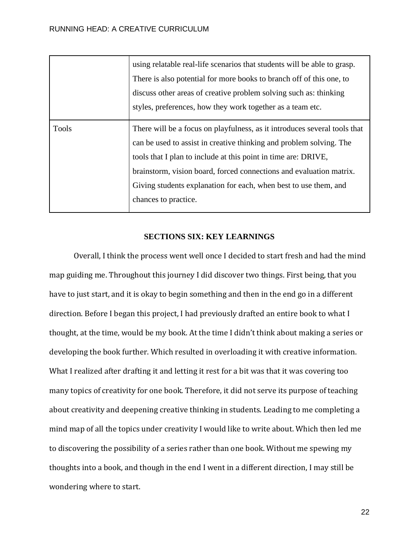|              | using relatable real-life scenarios that students will be able to grasp.<br>There is also potential for more books to branch off of this one, to<br>discuss other areas of creative problem solving such as: thinking |
|--------------|-----------------------------------------------------------------------------------------------------------------------------------------------------------------------------------------------------------------------|
|              | styles, preferences, how they work together as a team etc.                                                                                                                                                            |
| <b>Tools</b> | There will be a focus on playfulness, as it introduces several tools that                                                                                                                                             |
|              | can be used to assist in creative thinking and problem solving. The                                                                                                                                                   |
|              | tools that I plan to include at this point in time are: DRIVE,                                                                                                                                                        |
|              | brainstorm, vision board, forced connections and evaluation matrix.                                                                                                                                                   |
|              | Giving students explanation for each, when best to use them, and                                                                                                                                                      |
|              | chances to practice.                                                                                                                                                                                                  |
|              |                                                                                                                                                                                                                       |

### **SECTIONS SIX: KEY LEARNINGS**

Overall, I think the process went well once I decided to start fresh and had the mind map guiding me. Throughout this journey I did discover two things. First being, that you have to just start, and it is okay to begin something and then in the end go in a different direction. Before I began this project, I had previously drafted an entire book to what I thought, at the time, would be my book. At the time I didn't think about making a series or developing the book further. Which resulted in overloading it with creative information. What I realized after drafting it and letting it rest for a bit was that it was covering too many topics of creativity for one book. Therefore, it did not serve its purpose of teaching about creativity and deepening creative thinking in students. Leading to me completing a mind map of all the topics under creativity I would like to write about. Which then led me to discovering the possibility of a series rather than one book. Without me spewing my thoughts into a book, and though in the end I went in a different direction, I may still be wondering where to start.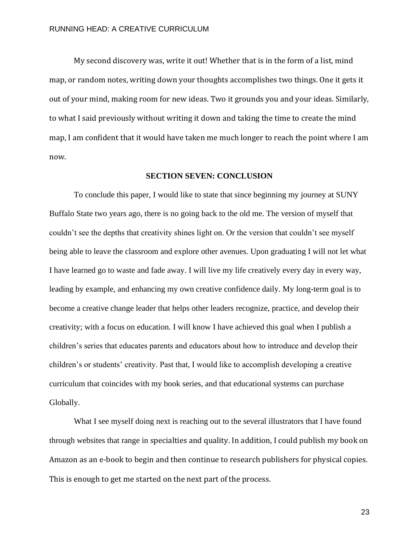My second discovery was, write it out! Whether that is in the form of a list, mind map, or random notes, writing down your thoughts accomplishes two things. One it gets it out of your mind, making room for new ideas. Two it grounds you and your ideas. Similarly, to what I said previously without writing it down and taking the time to create the mind map, I am confident that it would have taken me much longer to reach the point where I am now.

#### **SECTION SEVEN: CONCLUSION**

To conclude this paper, I would like to state that since beginning my journey at SUNY Buffalo State two years ago, there is no going back to the old me. The version of myself that couldn't see the depths that creativity shines light on. Or the version that couldn't see myself being able to leave the classroom and explore other avenues. Upon graduating I will not let what I have learned go to waste and fade away. I will live my life creatively every day in every way, leading by example, and enhancing my own creative confidence daily. My long-term goal is to become a creative change leader that helps other leaders recognize, practice, and develop their creativity; with a focus on education. I will know I have achieved this goal when I publish a children's series that educates parents and educators about how to introduce and develop their children's or students' creativity. Past that, I would like to accomplish developing a creative curriculum that coincides with my book series, and that educational systems can purchase Globally.

What I see myself doing next is reaching out to the several illustrators that I have found through websites that range in specialties and quality. In addition, I could publish my book on Amazon as an e-book to begin and then continue to research publishers for physical copies. This is enough to get me started on the next part of the process.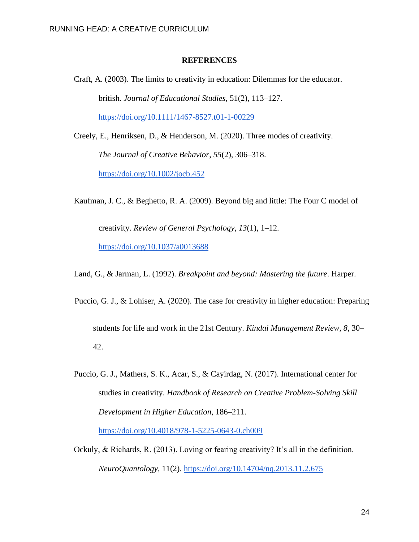#### **REFERENCES**

Craft, A. (2003). The limits to creativity in education: Dilemmas for the educator. british. *Journal of Educational Studies*, 51(2), 113–127. <https://doi.org/10.1111/1467-8527.t01-1-00229>

Creely, E., Henriksen, D., & Henderson, M. (2020). Three modes of creativity. *The Journal of Creative Behavior*, *55*(2), 306–318. <https://doi.org/10.1002/jocb.452>

Kaufman, J. C., & Beghetto, R. A. (2009). Beyond big and little: The Four C model of creativity. *Review of General Psychology*, *13*(1), 1–12. <https://doi.org/10.1037/a0013688>

Land, G., & Jarman, L. (1992). *Breakpoint and beyond: Mastering the future*. Harper.

- Puccio, G. J., & Lohiser, A. (2020). The case for creativity in higher education: Preparing students for life and work in the 21st Century. *Kindai Management Review*, *8*, 30– 42.
- Puccio, G. J., Mathers, S. K., Acar, S., & Cayirdag, N. (2017). International center for studies in creativity. *Handbook of Research on Creative Problem-Solving Skill Development in Higher Education*, 186–211. <https://doi.org/10.4018/978-1-5225-0643-0.ch009>
- Ockuly, & Richards, R. (2013). Loving or fearing creativity? It's all in the definition. *NeuroQuantology,* 11(2).<https://doi.org/10.14704/nq.2013.11.2.675>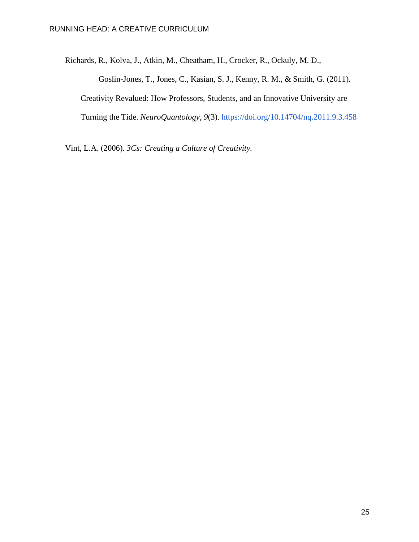Richards, R., Kolva, J., Atkin, M., Cheatham, H., Crocker, R., Ockuly, M. D.,

Goslin-Jones, T., Jones, C., Kasian, S. J., Kenny, R. M., & Smith, G. (2011). Creativity Revalued: How Professors, Students, and an Innovative University are Turning the Tide. *NeuroQuantology*, *9*(3).<https://doi.org/10.14704/nq.2011.9.3.458>

Vint, L.A. (2006). *3Cs: Creating a Culture of Creativity.*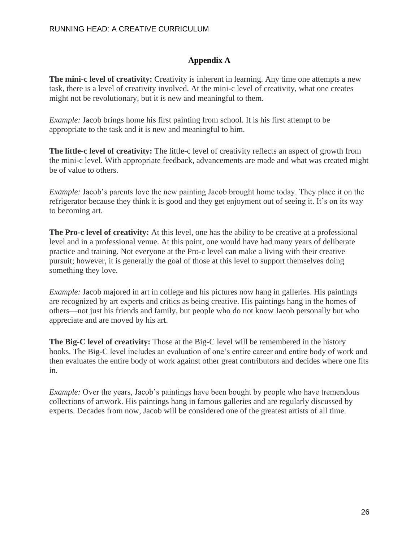### **Appendix A**

**The mini-c level of creativity:** Creativity is inherent in learning. Any time one attempts a new task, there is a level of creativity involved. At the mini-c level of creativity, what one creates might not be revolutionary, but it is new and meaningful to them.

*Example:* Jacob brings home his first painting from school. It is his first attempt to be appropriate to the task and it is new and meaningful to him.

**The little-c level of creativity:** The little-c level of creativity reflects an aspect of growth from the mini-c level. With appropriate feedback, advancements are made and what was created might be of value to others.

*Example:* Jacob's parents love the new painting Jacob brought home today. They place it on the refrigerator because they think it is good and they get enjoyment out of seeing it. It's on its way to becoming art.

**The Pro-c level of creativity:** At this level, one has the ability to be creative at a professional level and in a professional venue. At this point, one would have had many years of deliberate practice and training. Not everyone at the Pro-c level can make a living with their creative pursuit; however, it is generally the goal of those at this level to support themselves doing something they love.

*Example:* Jacob majored in art in college and his pictures now hang in galleries. His paintings are recognized by art experts and critics as being creative. His paintings hang in the homes of others—not just his friends and family, but people who do not know Jacob personally but who appreciate and are moved by his art.

**The Big-C level of creativity:** Those at the Big-C level will be remembered in the history books. The Big-C level includes an evaluation of one's entire career and entire body of work and then evaluates the entire body of work against other great contributors and decides where one fits in.

*Example:* Over the years, Jacob's paintings have been bought by people who have tremendous collections of artwork. His paintings hang in famous galleries and are regularly discussed by experts. Decades from now, Jacob will be considered one of the greatest artists of all time.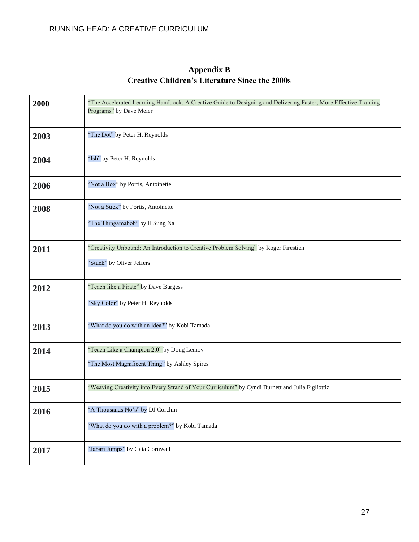# **Appendix B Creative Children's Literature Since the 2000s**

| 2000 | "The Accelerated Learning Handbook: A Creative Guide to Designing and Delivering Faster, More Effective Training<br>Programs" by Dave Meier |
|------|---------------------------------------------------------------------------------------------------------------------------------------------|
| 2003 | "The Dot" by Peter H. Reynolds                                                                                                              |
| 2004 | "Ish" by Peter H. Reynolds                                                                                                                  |
| 2006 | "Not a Box" by Portis, Antoinette                                                                                                           |
| 2008 | "Not a Stick" by Portis, Antoinette                                                                                                         |
|      | "The Thingamabob" by Il Sung Na                                                                                                             |
| 2011 | "Creativity Unbound: An Introduction to Creative Problem Solving" by Roger Firestien                                                        |
|      | "Stuck" by Oliver Jeffers                                                                                                                   |
| 2012 | "Teach like a Pirate" by Dave Burgess                                                                                                       |
|      | "Sky Color" by Peter H. Reynolds                                                                                                            |
| 2013 | "What do you do with an idea?" by Kobi Tamada                                                                                               |
| 2014 | "Teach Like a Champion 2.0" by Doug Lemov                                                                                                   |
|      | "The Most Magnificent Thing" by Ashley Spires                                                                                               |
| 2015 | "Weaving Creativity into Every Strand of Your Curriculum" by Cyndi Burnett and Julia Figliottiz                                             |
| 2016 | "A Thousands No's" by DJ Corchin                                                                                                            |
|      | "What do you do with a problem?" by Kobi Tamada                                                                                             |
| 2017 | "Jabari Jumps" by Gaia Cornwall                                                                                                             |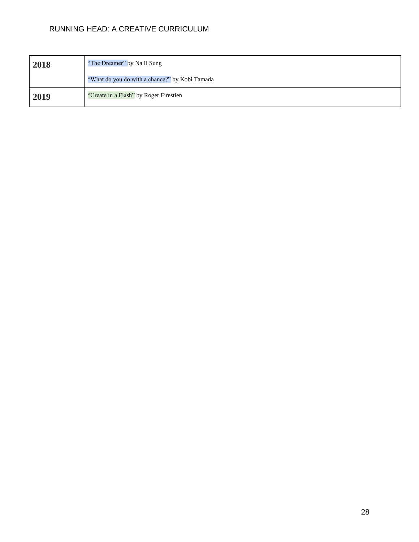| 2018 | "The Dreamer" by Na Il Sung                    |
|------|------------------------------------------------|
|      | "What do you do with a chance?" by Kobi Tamada |
| 2019 | "Create in a Flash" by Roger Firestien         |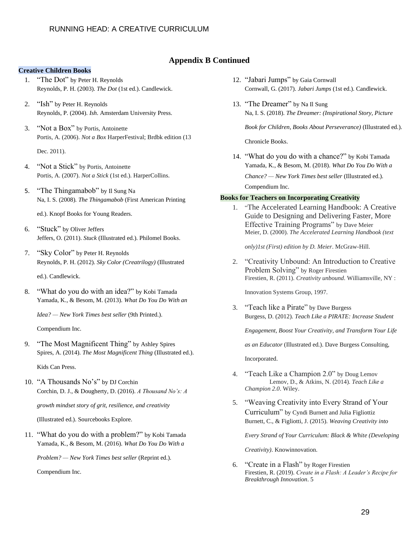#### **Appendix B Continued**

#### **Creative Children Books**

- 1. "The Dot" by Peter H. Reynolds Reynolds, P. H. (2003). *The Dot* (1st ed.). Candlewick.
- 2. "Ish" by Peter H. Reynolds Reynolds, P. (2004). *Ish*. Amsterdam University Press.
- 3. "Not a Box" by Portis, Antoinette Portis, A. (2006). *Not a Box* HarperFestival; Brdbk edition (13

Dec. 2011).

- 4. "Not a Stick" by Portis, Antoinette Portis, A. (2007). *Not a Stick* (1st ed.). HarperCollins.
- 5. "The Thingamabob" by Il Sung Na Na, I. S. (2008). *The Thingamabob* (First American Printing

ed.). Knopf Books for Young Readers.

- 6. "Stuck" by Oliver Jeffers Jeffers, O. (2011). *Stuck* (Illustrated ed.). Philomel Books.
- 7. "Sky Color" by Peter H. Reynolds Reynolds, P. H. (2012). *Sky Color (Creatrilogy)* (Illustrated

ed.). Candlewick.

8. "What do you do with an idea?" by Kobi Tamada Yamada, K., & Besom, M. (2013). *What Do You Do With an* 

*Idea? — New York Times best seller* (9th Printed.).

Compendium Inc.

9. "The Most Magnificent Thing" by Ashley Spires Spires, A. (2014). *The Most Magnificent Thing* (Illustrated ed.).

Kids Can Press.

10. "A Thousands No's" by DJ Corchin Corchin, D. J., & Dougherty, D. (2016). *A Thousand No's: A* 

*growth mindset story of grit, resilience, and creativity*

(Illustrated ed.). Sourcebooks Explore.

11. "What do you do with a problem?" by Kobi Tamada Yamada, K., & Besom, M. (2016). *What Do You Do With a* 

*Problem? — New York Times best seller* (Reprint ed.).

Compendium Inc.

- 12. "Jabari Jumps" by Gaia Cornwall Cornwall, G. (2017). *Jabari Jumps* (1st ed.). Candlewick.
- 13. "The Dreamer" by Na Il Sung Na, I. S. (2018). *The Dreamer: (Inspirational Story, Picture*

*Book for Children, Books About Perseverance)* (Illustrated ed.).

Chronicle Books.

14. "What do you do with a chance?" by Kobi Tamada Yamada, K., & Besom, M. (2018). *What Do You Do With a Chance? — New York Times best seller* (Illustrated ed.). Compendium Inc.

#### **Books for Teachers on Incorporating Creativity**

1. "The Accelerated Learning Handbook: A Creative Guide to Designing and Delivering Faster, More Effective Training Programs" by Dave Meier Meier, D. (2000). *The Accelerated Learning Handbook (text* 

*only)1st (First) edition by D. Meier*. McGraw-Hill.

2. "Creativity Unbound: An Introduction to Creative Problem Solving" by Roger Firestien Firestien, R. (2011). *Creativity unbound*. Williamsville, NY :

Innovation Systems Group, 1997.

3. "Teach like a Pirate" by Dave Burgess Burgess, D. (2012). *Teach Like a PIRATE: Increase Student* 

*Engagement, Boost Your Creativity, and Transform Your Life* 

*as an Educator* (Illustrated ed.). Dave Burgess Consulting,

Incorporated.

- 4. "Teach Like a Champion 2.0" by Doug Lemov Lemov, D., & Atkins, N. (2014). *Teach Like a Champion 2.0*. Wiley.
- 5. "Weaving Creativity into Every Strand of Your Curriculum" by Cyndi Burnett and Julia Figliottiz Burnett, C., & Figliotti, J. (2015). *Weaving Creativity into*

*Every Strand of Your Curriculum: Black & White (Developing* 

*Creativity)*. Knowinnovation.

6. "Create in a Flash" by Roger Firestien Firestien, R. (2019). *Create in a Flash: A Leader's Recipe for Breakthrough Innovation*. 5